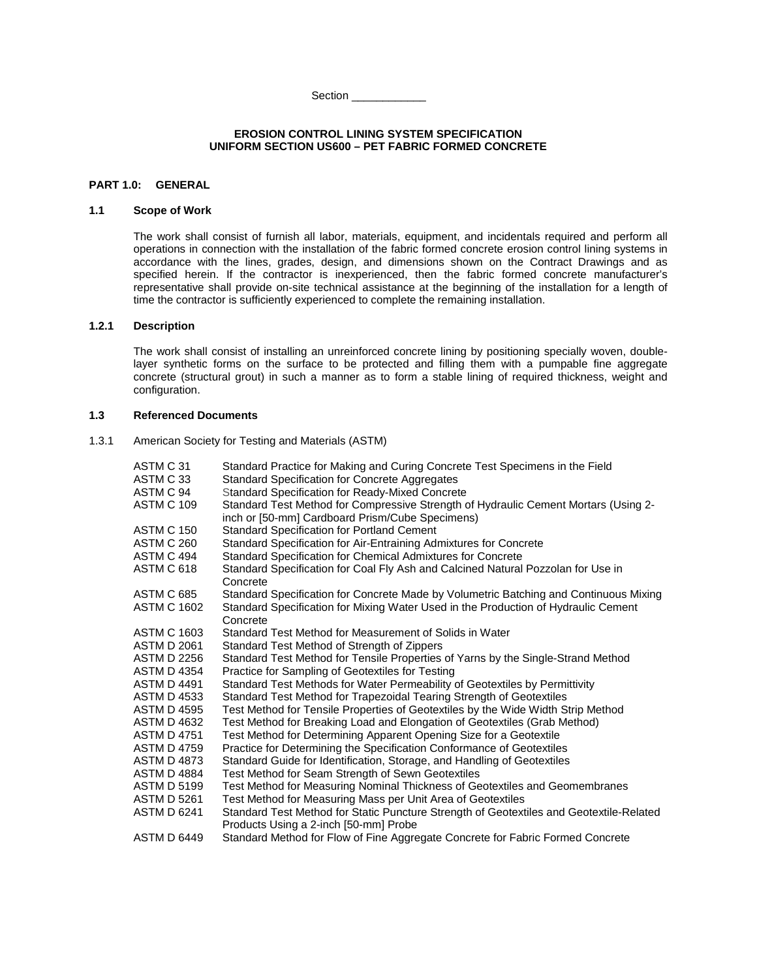Section \_\_\_\_\_\_\_\_\_\_\_\_\_

### **EROSION CONTROL LINING SYSTEM SPECIFICATION UNIFORM SECTION US600 – PET FABRIC FORMED CONCRETE**

# **PART 1.0: GENERAL**

# **1.1 Scope of Work**

The work shall consist of furnish all labor, materials, equipment, and incidentals required and perform all operations in connection with the installation of the fabric formed concrete erosion control lining systems in accordance with the lines, grades, design, and dimensions shown on the Contract Drawings and as specified herein. If the contractor is inexperienced, then the fabric formed concrete manufacturer's representative shall provide on-site technical assistance at the beginning of the installation for a length of time the contractor is sufficiently experienced to complete the remaining installation.

# **1.2.1 Description**

The work shall consist of installing an unreinforced concrete lining by positioning specially woven, doublelayer synthetic forms on the surface to be protected and filling them with a pumpable fine aggregate concrete (structural grout) in such a manner as to form a stable lining of required thickness, weight and configuration.

## **1.3 Referenced Documents**

1.3.1 American Society for Testing and Materials (ASTM)

| ASTM C 31<br>ASTM C 33<br>ASTM C 94 | Standard Practice for Making and Curing Concrete Test Specimens in the Field<br><b>Standard Specification for Concrete Aggregates</b><br><b>Standard Specification for Ready-Mixed Concrete</b> |
|-------------------------------------|-------------------------------------------------------------------------------------------------------------------------------------------------------------------------------------------------|
| ASTM C 109                          | Standard Test Method for Compressive Strength of Hydraulic Cement Mortars (Using 2-<br>inch or [50-mm] Cardboard Prism/Cube Specimens)                                                          |
| <b>ASTM C 150</b>                   | <b>Standard Specification for Portland Cement</b>                                                                                                                                               |
| ASTM C 260                          | Standard Specification for Air-Entraining Admixtures for Concrete                                                                                                                               |
| ASTM C 494                          | Standard Specification for Chemical Admixtures for Concrete                                                                                                                                     |
| ASTM C 618                          | Standard Specification for Coal Fly Ash and Calcined Natural Pozzolan for Use in<br>Concrete                                                                                                    |
| <b>ASTM C 685</b>                   | Standard Specification for Concrete Made by Volumetric Batching and Continuous Mixing                                                                                                           |
| <b>ASTM C 1602</b>                  | Standard Specification for Mixing Water Used in the Production of Hydraulic Cement<br>Concrete                                                                                                  |
| <b>ASTM C 1603</b>                  | Standard Test Method for Measurement of Solids in Water                                                                                                                                         |
| <b>ASTM D 2061</b>                  | Standard Test Method of Strength of Zippers                                                                                                                                                     |
| <b>ASTM D 2256</b>                  | Standard Test Method for Tensile Properties of Yarns by the Single-Strand Method                                                                                                                |
| <b>ASTM D 4354</b>                  | Practice for Sampling of Geotextiles for Testing                                                                                                                                                |
| ASTM D 4491                         | Standard Test Methods for Water Permeability of Geotextiles by Permittivity                                                                                                                     |
| <b>ASTM D 4533</b>                  | Standard Test Method for Trapezoidal Tearing Strength of Geotextiles                                                                                                                            |
| <b>ASTM D 4595</b>                  | Test Method for Tensile Properties of Geotextiles by the Wide Width Strip Method                                                                                                                |
| <b>ASTM D 4632</b>                  | Test Method for Breaking Load and Elongation of Geotextiles (Grab Method)                                                                                                                       |
| <b>ASTM D 4751</b>                  | Test Method for Determining Apparent Opening Size for a Geotextile                                                                                                                              |
| <b>ASTM D 4759</b>                  | Practice for Determining the Specification Conformance of Geotextiles                                                                                                                           |
| <b>ASTM D 4873</b>                  | Standard Guide for Identification, Storage, and Handling of Geotextiles                                                                                                                         |
| <b>ASTM D 4884</b>                  | Test Method for Seam Strength of Sewn Geotextiles                                                                                                                                               |
| <b>ASTM D 5199</b>                  | Test Method for Measuring Nominal Thickness of Geotextiles and Geomembranes                                                                                                                     |
| ASTM D 5261                         | Test Method for Measuring Mass per Unit Area of Geotextiles                                                                                                                                     |
| <b>ASTM D 6241</b>                  | Standard Test Method for Static Puncture Strength of Geotextiles and Geotextile-Related<br>Products Using a 2-inch [50-mm] Probe                                                                |
| <b>ASTM D 6449</b>                  | Standard Method for Flow of Fine Aggregate Concrete for Fabric Formed Concrete                                                                                                                  |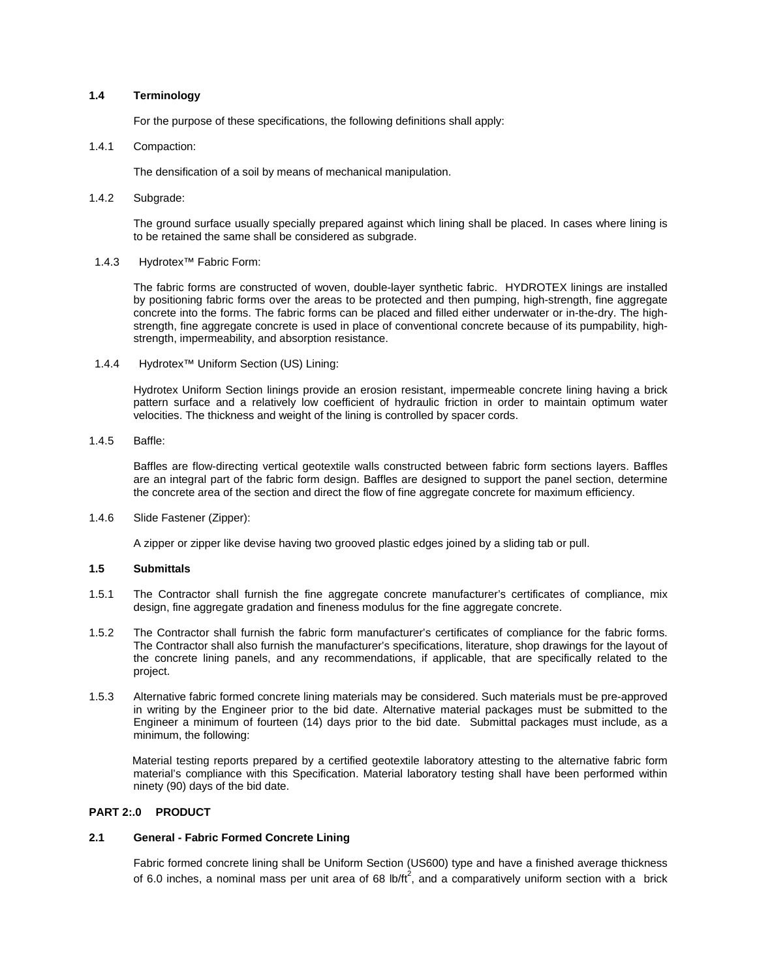# **1.4 Terminology**

For the purpose of these specifications, the following definitions shall apply:

### 1.4.1 Compaction:

The densification of a soil by means of mechanical manipulation.

1.4.2 Subgrade:

The ground surface usually specially prepared against which lining shall be placed. In cases where lining is to be retained the same shall be considered as subgrade.

1.4.3 Hydrotex™ Fabric Form:

The fabric forms are constructed of woven, double-layer synthetic fabric. HYDROTEX linings are installed by positioning fabric forms over the areas to be protected and then pumping, high-strength, fine aggregate concrete into the forms. The fabric forms can be placed and filled either underwater or in-the-dry. The highstrength, fine aggregate concrete is used in place of conventional concrete because of its pumpability, highstrength, impermeability, and absorption resistance.

1.4.4 Hydrotex™ Uniform Section (US) Lining:

Hydrotex Uniform Section linings provide an erosion resistant, impermeable concrete lining having a brick pattern surface and a relatively low coefficient of hydraulic friction in order to maintain optimum water velocities. The thickness and weight of the lining is controlled by spacer cords.

## 1.4.5 Baffle:

Baffles are flow-directing vertical geotextile walls constructed between fabric form sections layers. Baffles are an integral part of the fabric form design. Baffles are designed to support the panel section, determine the concrete area of the section and direct the flow of fine aggregate concrete for maximum efficiency.

1.4.6 Slide Fastener (Zipper):

A zipper or zipper like devise having two grooved plastic edges joined by a sliding tab or pull.

# **1.5 Submittals**

- 1.5.1 The Contractor shall furnish the fine aggregate concrete manufacturer's certificates of compliance, mix design, fine aggregate gradation and fineness modulus for the fine aggregate concrete.
- 1.5.2 The Contractor shall furnish the fabric form manufacturer's certificates of compliance for the fabric forms. The Contractor shall also furnish the manufacturer's specifications, literature, shop drawings for the layout of the concrete lining panels, and any recommendations, if applicable, that are specifically related to the project.
- 1.5.3 Alternative fabric formed concrete lining materials may be considered. Such materials must be pre-approved in writing by the Engineer prior to the bid date. Alternative material packages must be submitted to the Engineer a minimum of fourteen (14) days prior to the bid date. Submittal packages must include, as a minimum, the following:

Material testing reports prepared by a certified geotextile laboratory attesting to the alternative fabric form material's compliance with this Specification. Material laboratory testing shall have been performed within ninety (90) days of the bid date.

# **PART 2:.0 PRODUCT**

### **2.1 General - Fabric Formed Concrete Lining**

Fabric formed concrete lining shall be Uniform Section (US600) type and have a finished average thickness of 6.0 inches, a nominal mass per unit area of 68 lb/ft<sup>2</sup>, and a comparatively uniform section with a brick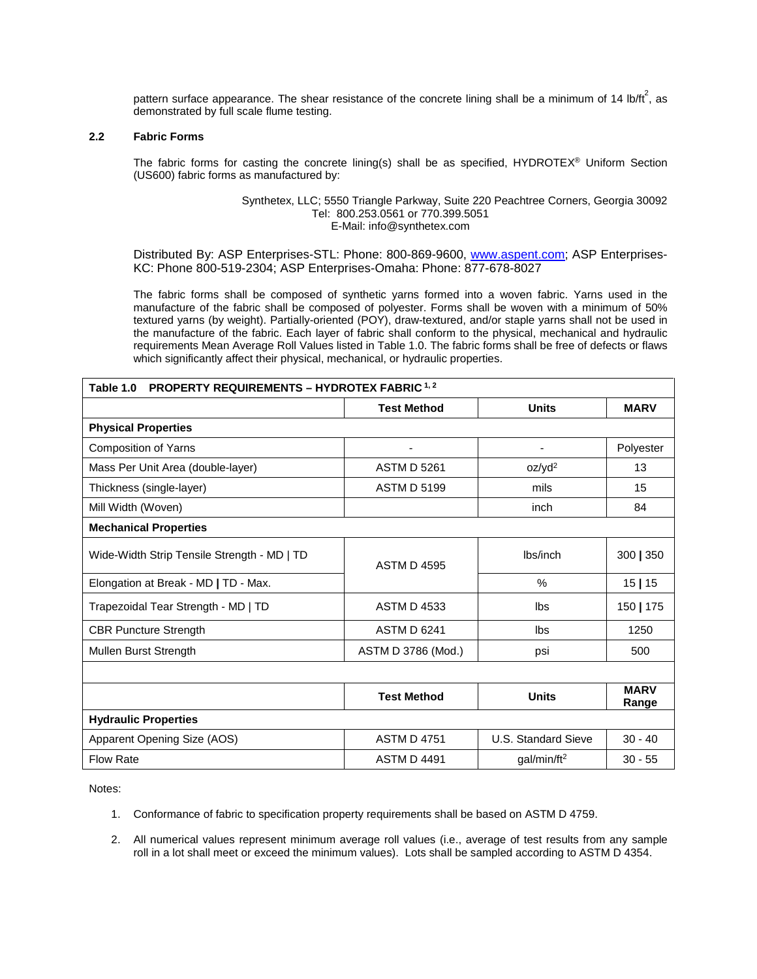pattern surface appearance. The shear resistance of the concrete lining shall be a minimum of 14 lb/ft<sup>2</sup>, as demonstrated by full scale flume testing.

## **2.2 Fabric Forms**

The fabric forms for casting the concrete lining(s) shall be as specified, HYDROTEX® Uniform Section (US600) fabric forms as manufactured by:

### Synthetex, LLC; 5550 Triangle Parkway, Suite 220 Peachtree Corners, Georgia 30092 Tel: 800.253.0561 or 770.399.5051 E-Mail: info@synthetex.com

Distributed By: ASP Enterprises-STL: Phone: 800-869-9600, [www.aspent.com;](http://www.aspent.com/) ASP Enterprises-KC: Phone 800-519-2304; ASP Enterprises-Omaha: Phone: 877-678-8027

The fabric forms shall be composed of synthetic yarns formed into a woven fabric. Yarns used in the manufacture of the fabric shall be composed of polyester. Forms shall be woven with a minimum of 50% textured yarns (by weight). Partially-oriented (POY), draw-textured, and/or staple yarns shall not be used in the manufacture of the fabric. Each layer of fabric shall conform to the physical, mechanical and hydraulic requirements Mean Average Roll Values listed in Table 1.0. The fabric forms shall be free of defects or flaws which significantly affect their physical, mechanical, or hydraulic properties.

| <b>PROPERTY REQUIREMENTS - HYDROTEX FABRIC 1, 2</b><br>Table 1.0 |                    |                          |                      |  |
|------------------------------------------------------------------|--------------------|--------------------------|----------------------|--|
|                                                                  | <b>Test Method</b> | <b>Units</b>             | <b>MARV</b>          |  |
| <b>Physical Properties</b>                                       |                    |                          |                      |  |
| Composition of Yarns                                             | ٠                  | $\overline{\phantom{0}}$ | Polyester            |  |
| Mass Per Unit Area (double-layer)                                | <b>ASTM D 5261</b> | oz/yd <sup>2</sup>       | 13                   |  |
| Thickness (single-layer)                                         | <b>ASTM D 5199</b> | mils                     | 15                   |  |
| Mill Width (Woven)                                               |                    | inch                     | 84                   |  |
| <b>Mechanical Properties</b>                                     |                    |                          |                      |  |
| Wide-Width Strip Tensile Strength - MD   TD                      | <b>ASTM D 4595</b> | lbs/inch                 | 300   350            |  |
| Elongation at Break - MD   TD - Max.                             |                    | $\frac{0}{0}$            | 15 15                |  |
| Trapezoidal Tear Strength - MD   TD                              | <b>ASTM D 4533</b> | lbs                      | 150   175            |  |
| <b>CBR Puncture Strength</b>                                     | <b>ASTM D 6241</b> | Ibs                      | 1250                 |  |
| Mullen Burst Strength                                            | ASTM D 3786 (Mod.) | psi                      | 500                  |  |
|                                                                  |                    |                          |                      |  |
|                                                                  | <b>Test Method</b> | <b>Units</b>             | <b>MARV</b><br>Range |  |
| <b>Hydraulic Properties</b>                                      |                    |                          |                      |  |
| Apparent Opening Size (AOS)                                      | <b>ASTM D 4751</b> | U.S. Standard Sieve      | $30 - 40$            |  |
| <b>Flow Rate</b>                                                 | <b>ASTM D 4491</b> | qal/min/ft <sup>2</sup>  | $30 - 55$            |  |

Notes:

- 1. Conformance of fabric to specification property requirements shall be based on ASTM D 4759.
- 2. All numerical values represent minimum average roll values (i.e., average of test results from any sample roll in a lot shall meet or exceed the minimum values). Lots shall be sampled according to ASTM D 4354.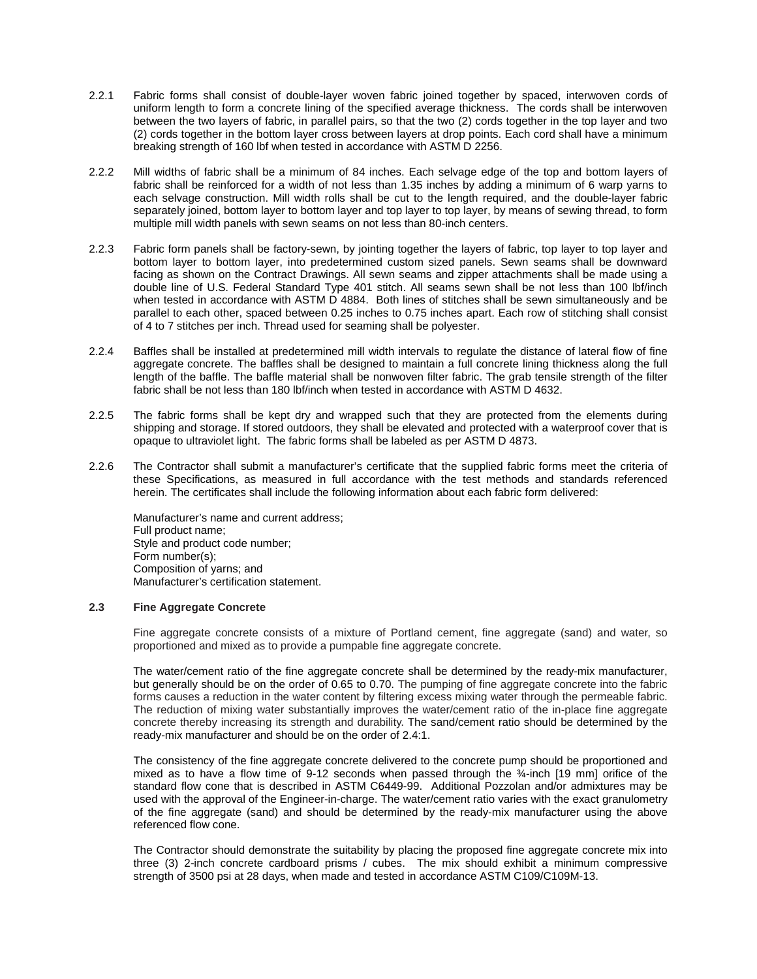- 2.2.1 Fabric forms shall consist of double-layer woven fabric joined together by spaced, interwoven cords of uniform length to form a concrete lining of the specified average thickness. The cords shall be interwoven between the two layers of fabric, in parallel pairs, so that the two (2) cords together in the top layer and two (2) cords together in the bottom layer cross between layers at drop points. Each cord shall have a minimum breaking strength of 160 lbf when tested in accordance with ASTM D 2256.
- 2.2.2 Mill widths of fabric shall be a minimum of 84 inches. Each selvage edge of the top and bottom layers of fabric shall be reinforced for a width of not less than 1.35 inches by adding a minimum of 6 warp yarns to each selvage construction. Mill width rolls shall be cut to the length required, and the double-layer fabric separately joined, bottom layer to bottom layer and top layer to top layer, by means of sewing thread, to form multiple mill width panels with sewn seams on not less than 80-inch centers.
- 2.2.3 Fabric form panels shall be factory-sewn, by jointing together the layers of fabric, top layer to top layer and bottom layer to bottom layer, into predetermined custom sized panels. Sewn seams shall be downward facing as shown on the Contract Drawings. All sewn seams and zipper attachments shall be made using a double line of U.S. Federal Standard Type 401 stitch. All seams sewn shall be not less than 100 lbf/inch when tested in accordance with ASTM D 4884. Both lines of stitches shall be sewn simultaneously and be parallel to each other, spaced between 0.25 inches to 0.75 inches apart. Each row of stitching shall consist of 4 to 7 stitches per inch. Thread used for seaming shall be polyester.
- 2.2.4 Baffles shall be installed at predetermined mill width intervals to regulate the distance of lateral flow of fine aggregate concrete. The baffles shall be designed to maintain a full concrete lining thickness along the full length of the baffle. The baffle material shall be nonwoven filter fabric. The grab tensile strength of the filter fabric shall be not less than 180 lbf/inch when tested in accordance with ASTM D 4632.
- 2.2.5 The fabric forms shall be kept dry and wrapped such that they are protected from the elements during shipping and storage. If stored outdoors, they shall be elevated and protected with a waterproof cover that is opaque to ultraviolet light. The fabric forms shall be labeled as per ASTM D 4873.
- 2.2.6 The Contractor shall submit a manufacturer's certificate that the supplied fabric forms meet the criteria of these Specifications, as measured in full accordance with the test methods and standards referenced herein. The certificates shall include the following information about each fabric form delivered:

Manufacturer's name and current address; Full product name; Style and product code number; Form number(s); Composition of yarns; and Manufacturer's certification statement.

### **2.3 Fine Aggregate Concrete**

Fine aggregate concrete consists of a mixture of Portland cement, fine aggregate (sand) and water, so proportioned and mixed as to provide a pumpable fine aggregate concrete.

The water/cement ratio of the fine aggregate concrete shall be determined by the ready-mix manufacturer, but generally should be on the order of 0.65 to 0.70. The pumping of fine aggregate concrete into the fabric forms causes a reduction in the water content by filtering excess mixing water through the permeable fabric. The reduction of mixing water substantially improves the water/cement ratio of the in-place fine aggregate concrete thereby increasing its strength and durability. The sand/cement ratio should be determined by the ready-mix manufacturer and should be on the order of 2.4:1.

The consistency of the fine aggregate concrete delivered to the concrete pump should be proportioned and mixed as to have a flow time of 9-12 seconds when passed through the ¾-inch [19 mm] orifice of the standard flow cone that is described in ASTM C6449-99. Additional Pozzolan and/or admixtures may be used with the approval of the Engineer-in-charge. The water/cement ratio varies with the exact granulometry of the fine aggregate (sand) and should be determined by the ready-mix manufacturer using the above referenced flow cone.

The Contractor should demonstrate the suitability by placing the proposed fine aggregate concrete mix into three (3) 2-inch concrete cardboard prisms / cubes. The mix should exhibit a minimum compressive strength of 3500 psi at 28 days, when made and tested in accordance ASTM C109/C109M-13.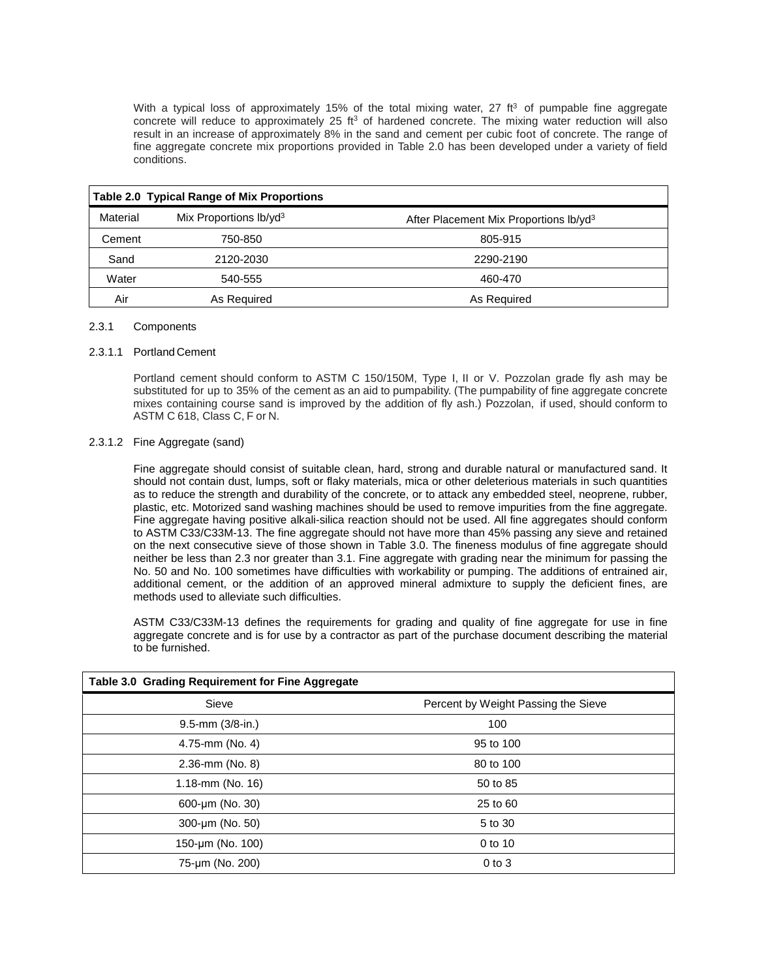With a typical loss of approximately 15% of the total mixing water, 27  $ft<sup>3</sup>$  of pumpable fine aggregate concrete will reduce to approximately 25 ft<sup>3</sup> of hardened concrete. The mixing water reduction will also result in an increase of approximately 8% in the sand and cement per cubic foot of concrete. The range of fine aggregate concrete mix proportions provided in Table 2.0 has been developed under a variety of field conditions.

|          | <b>Table 2.0 Typical Range of Mix Proportions</b> |                                                    |
|----------|---------------------------------------------------|----------------------------------------------------|
| Material | Mix Proportions lb/yd <sup>3</sup>                | After Placement Mix Proportions Ib/yd <sup>3</sup> |
| Cement   | 750-850                                           | 805-915                                            |
| Sand     | 2120-2030                                         | 2290-2190                                          |
| Water    | 540-555                                           | 460-470                                            |
| Air      | As Required                                       | As Required                                        |

# 2.3.1 Components

## 2.3.1.1 Portland Cement

Portland cement should conform to ASTM C 150/150M, Type I, II or V. Pozzolan grade fly ash may be substituted for up to 35% of the cement as an aid to pumpability. (The pumpability of fine aggregate concrete mixes containing course sand is improved by the addition of fly ash.) Pozzolan, if used, should conform to ASTM C 618, Class C, F or N.

# 2.3.1.2 Fine Aggregate (sand)

Fine aggregate should consist of suitable clean, hard, strong and durable natural or manufactured sand. It should not contain dust, lumps, soft or flaky materials, mica or other deleterious materials in such quantities as to reduce the strength and durability of the concrete, or to attack any embedded steel, neoprene, rubber, plastic, etc. Motorized sand washing machines should be used to remove impurities from the fine aggregate. Fine aggregate having positive alkali-silica reaction should not be used. All fine aggregates should conform to ASTM C33/C33M-13. The fine aggregate should not have more than 45% passing any sieve and retained on the next consecutive sieve of those shown in Table 3.0. The fineness modulus of fine aggregate should neither be less than 2.3 nor greater than 3.1. Fine aggregate with grading near the minimum for passing the No. 50 and No. 100 sometimes have difficulties with workability or pumping. The additions of entrained air, additional cement, or the addition of an approved mineral admixture to supply the deficient fines, are methods used to alleviate such difficulties.

ASTM C33/C33M-13 defines the requirements for grading and quality of fine aggregate for use in fine aggregate concrete and is for use by a contractor as part of the purchase document describing the material to be furnished.

| Table 3.0 Grading Requirement for Fine Aggregate |                                     |  |  |
|--------------------------------------------------|-------------------------------------|--|--|
| Sieve                                            | Percent by Weight Passing the Sieve |  |  |
| $9.5$ -mm $(3/8$ -in.)                           | 100                                 |  |  |
| 4.75-mm (No. 4)                                  | 95 to 100                           |  |  |
| 2.36-mm (No. 8)                                  | 80 to 100                           |  |  |
| 1.18-mm (No. 16)                                 | 50 to 85                            |  |  |
| 600-µm (No. 30)                                  | 25 to 60                            |  |  |
| 300-um (No. 50)                                  | 5 to 30                             |  |  |
| 150-µm (No. 100)                                 | 0 to 10                             |  |  |
| 75-um (No. 200)                                  | $0$ to $3$                          |  |  |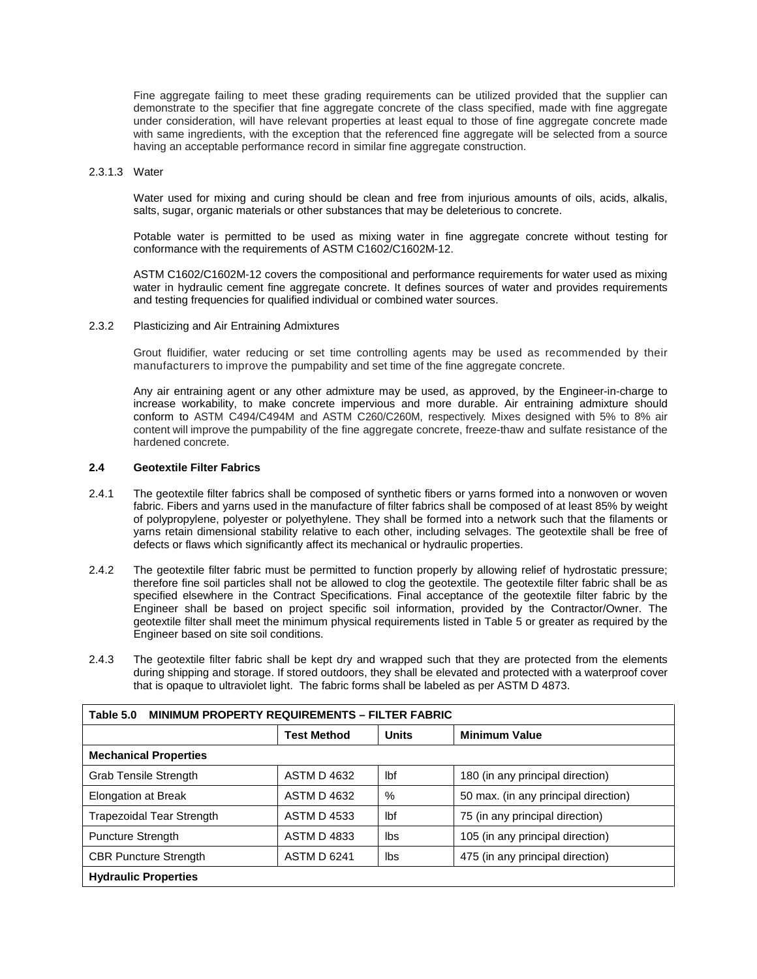Fine aggregate failing to meet these grading requirements can be utilized provided that the supplier can demonstrate to the specifier that fine aggregate concrete of the class specified, made with fine aggregate under consideration, will have relevant properties at least equal to those of fine aggregate concrete made with same ingredients, with the exception that the referenced fine aggregate will be selected from a source having an acceptable performance record in similar fine aggregate construction.

### 2.3.1.3 Water

Water used for mixing and curing should be clean and free from injurious amounts of oils, acids, alkalis, salts, sugar, organic materials or other substances that may be deleterious to concrete.

Potable water is permitted to be used as mixing water in fine aggregate concrete without testing for conformance with the requirements of ASTM C1602/C1602M-12.

ASTM C1602/C1602M-12 covers the compositional and performance requirements for water used as mixing water in hydraulic cement fine aggregate concrete. It defines sources of water and provides requirements and testing frequencies for qualified individual or combined water sources.

### 2.3.2 Plasticizing and Air Entraining Admixtures

Grout fluidifier, water reducing or set time controlling agents may be used as recommended by their manufacturers to improve the pumpability and set time of the fine aggregate concrete.

Any air entraining agent or any other admixture may be used, as approved, by the Engineer-in-charge to increase workability, to make concrete impervious and more durable. Air entraining admixture should conform to ASTM C494/C494M and ASTM C260/C260M, respectively. Mixes designed with 5% to 8% air content will improve the pumpability of the fine aggregate concrete, freeze-thaw and sulfate resistance of the hardened concrete.

## **2.4 Geotextile Filter Fabrics**

- 2.4.1 The geotextile filter fabrics shall be composed of synthetic fibers or yarns formed into a nonwoven or woven fabric. Fibers and yarns used in the manufacture of filter fabrics shall be composed of at least 85% by weight of polypropylene, polyester or polyethylene. They shall be formed into a network such that the filaments or yarns retain dimensional stability relative to each other, including selvages. The geotextile shall be free of defects or flaws which significantly affect its mechanical or hydraulic properties.
- 2.4.2 The geotextile filter fabric must be permitted to function properly by allowing relief of hydrostatic pressure; therefore fine soil particles shall not be allowed to clog the geotextile. The geotextile filter fabric shall be as specified elsewhere in the Contract Specifications. Final acceptance of the geotextile filter fabric by the Engineer shall be based on project specific soil information, provided by the Contractor/Owner. The geotextile filter shall meet the minimum physical requirements listed in Table 5 or greater as required by the Engineer based on site soil conditions.
- 2.4.3 The geotextile filter fabric shall be kept dry and wrapped such that they are protected from the elements during shipping and storage. If stored outdoors, they shall be elevated and protected with a waterproof cover that is opaque to ultraviolet light. The fabric forms shall be labeled as per ASTM D 4873.

| <b>MINIMUM PROPERTY REQUIREMENTS - FILTER FABRIC</b><br>Table 5.0 |                    |              |                                      |  |
|-------------------------------------------------------------------|--------------------|--------------|--------------------------------------|--|
|                                                                   | <b>Test Method</b> | <b>Units</b> | <b>Minimum Value</b>                 |  |
| <b>Mechanical Properties</b>                                      |                    |              |                                      |  |
| <b>Grab Tensile Strength</b>                                      | <b>ASTM D 4632</b> | lbf          | 180 (in any principal direction)     |  |
| <b>Elongation at Break</b>                                        | <b>ASTM D 4632</b> | %            | 50 max. (in any principal direction) |  |
| <b>Trapezoidal Tear Strength</b>                                  | <b>ASTM D 4533</b> | lbf          | 75 (in any principal direction)      |  |
| <b>Puncture Strength</b>                                          | <b>ASTM D 4833</b> | lbs          | 105 (in any principal direction)     |  |
| <b>CBR Puncture Strength</b>                                      | <b>ASTM D 6241</b> | lbs          | 475 (in any principal direction)     |  |
| <b>Hydraulic Properties</b>                                       |                    |              |                                      |  |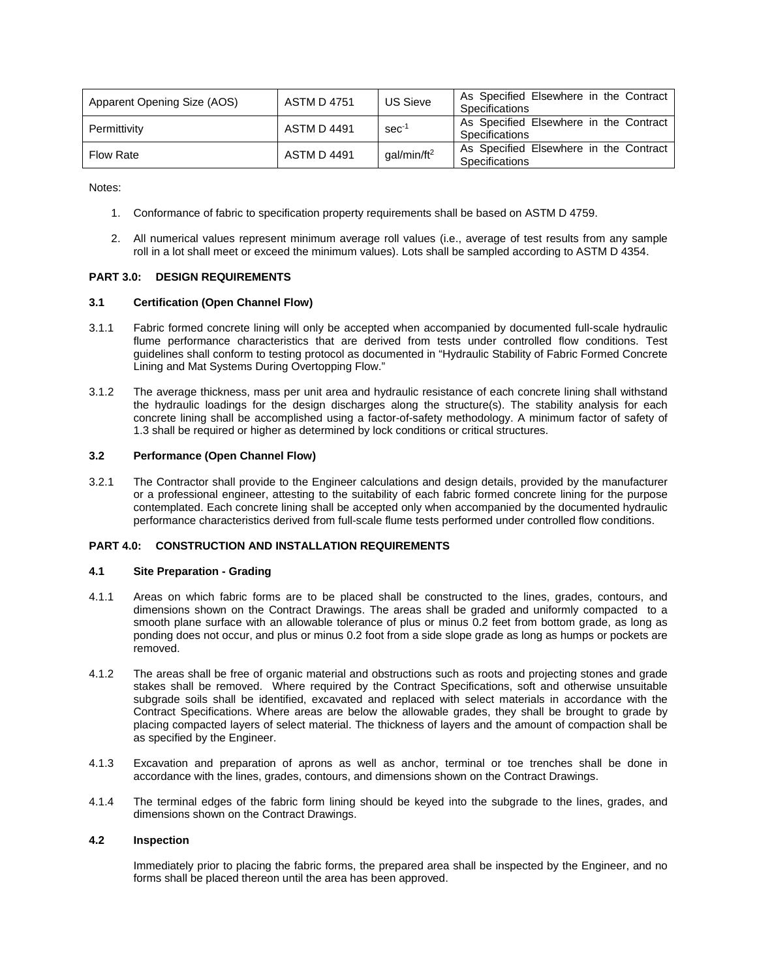| Apparent Opening Size (AOS) | <b>ASTM D 4751</b> | <b>US Sieve</b>         | As Specified Elsewhere in the Contract<br>Specifications |
|-----------------------------|--------------------|-------------------------|----------------------------------------------------------|
| Permittivity                | <b>ASTM D 4491</b> | $sec-1$                 | As Specified Elsewhere in the Contract<br>Specifications |
| <b>Flow Rate</b>            | <b>ASTM D 4491</b> | gal/min/ft <sup>2</sup> | As Specified Elsewhere in the Contract<br>Specifications |

Notes:

- 1. Conformance of fabric to specification property requirements shall be based on ASTM D 4759.
- 2. All numerical values represent minimum average roll values (i.e., average of test results from any sample roll in a lot shall meet or exceed the minimum values). Lots shall be sampled according to ASTM D 4354.

## **PART 3.0: DESIGN REQUIREMENTS**

## **3.1 Certification (Open Channel Flow)**

- 3.1.1 Fabric formed concrete lining will only be accepted when accompanied by documented full-scale hydraulic flume performance characteristics that are derived from tests under controlled flow conditions. Test guidelines shall conform to testing protocol as documented in "Hydraulic Stability of Fabric Formed Concrete Lining and Mat Systems During Overtopping Flow."
- 3.1.2 The average thickness, mass per unit area and hydraulic resistance of each concrete lining shall withstand the hydraulic loadings for the design discharges along the structure(s). The stability analysis for each concrete lining shall be accomplished using a factor-of-safety methodology. A minimum factor of safety of 1.3 shall be required or higher as determined by lock conditions or critical structures.

# **3.2 Performance (Open Channel Flow)**

3.2.1 The Contractor shall provide to the Engineer calculations and design details, provided by the manufacturer or a professional engineer, attesting to the suitability of each fabric formed concrete lining for the purpose contemplated. Each concrete lining shall be accepted only when accompanied by the documented hydraulic performance characteristics derived from full-scale flume tests performed under controlled flow conditions.

# **PART 4.0: CONSTRUCTION AND INSTALLATION REQUIREMENTS**

### **4.1 Site Preparation - Grading**

- 4.1.1 Areas on which fabric forms are to be placed shall be constructed to the lines, grades, contours, and dimensions shown on the Contract Drawings. The areas shall be graded and uniformly compacted to a smooth plane surface with an allowable tolerance of plus or minus 0.2 feet from bottom grade, as long as ponding does not occur, and plus or minus 0.2 foot from a side slope grade as long as humps or pockets are removed.
- 4.1.2 The areas shall be free of organic material and obstructions such as roots and projecting stones and grade stakes shall be removed. Where required by the Contract Specifications, soft and otherwise unsuitable subgrade soils shall be identified, excavated and replaced with select materials in accordance with the Contract Specifications. Where areas are below the allowable grades, they shall be brought to grade by placing compacted layers of select material. The thickness of layers and the amount of compaction shall be as specified by the Engineer.
- 4.1.3 Excavation and preparation of aprons as well as anchor, terminal or toe trenches shall be done in accordance with the lines, grades, contours, and dimensions shown on the Contract Drawings.
- 4.1.4 The terminal edges of the fabric form lining should be keyed into the subgrade to the lines, grades, and dimensions shown on the Contract Drawings.

### **4.2 Inspection**

Immediately prior to placing the fabric forms, the prepared area shall be inspected by the Engineer, and no forms shall be placed thereon until the area has been approved.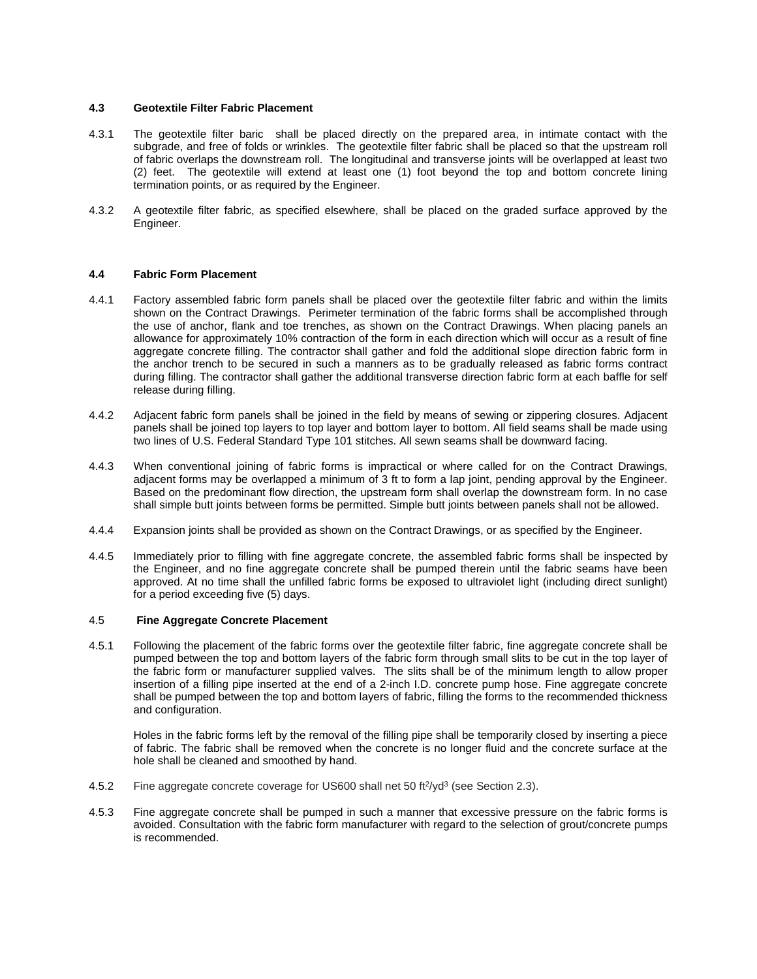## **4.3 Geotextile Filter Fabric Placement**

- 4.3.1 The geotextile filter baric shall be placed directly on the prepared area, in intimate contact with the subgrade, and free of folds or wrinkles. The geotextile filter fabric shall be placed so that the upstream roll of fabric overlaps the downstream roll. The longitudinal and transverse joints will be overlapped at least two (2) feet. The geotextile will extend at least one (1) foot beyond the top and bottom concrete lining termination points, or as required by the Engineer.
- 4.3.2 A geotextile filter fabric, as specified elsewhere, shall be placed on the graded surface approved by the Engineer.

## **4.4 Fabric Form Placement**

- 4.4.1 Factory assembled fabric form panels shall be placed over the geotextile filter fabric and within the limits shown on the Contract Drawings. Perimeter termination of the fabric forms shall be accomplished through the use of anchor, flank and toe trenches, as shown on the Contract Drawings. When placing panels an allowance for approximately 10% contraction of the form in each direction which will occur as a result of fine aggregate concrete filling. The contractor shall gather and fold the additional slope direction fabric form in the anchor trench to be secured in such a manners as to be gradually released as fabric forms contract during filling. The contractor shall gather the additional transverse direction fabric form at each baffle for self release during filling.
- 4.4.2 Adjacent fabric form panels shall be joined in the field by means of sewing or zippering closures. Adjacent panels shall be joined top layers to top layer and bottom layer to bottom. All field seams shall be made using two lines of U.S. Federal Standard Type 101 stitches. All sewn seams shall be downward facing.
- 4.4.3 When conventional joining of fabric forms is impractical or where called for on the Contract Drawings, adjacent forms may be overlapped a minimum of 3 ft to form a lap joint, pending approval by the Engineer. Based on the predominant flow direction, the upstream form shall overlap the downstream form. In no case shall simple butt joints between forms be permitted. Simple butt joints between panels shall not be allowed.
- 4.4.4 Expansion joints shall be provided as shown on the Contract Drawings, or as specified by the Engineer.
- 4.4.5 Immediately prior to filling with fine aggregate concrete, the assembled fabric forms shall be inspected by the Engineer, and no fine aggregate concrete shall be pumped therein until the fabric seams have been approved. At no time shall the unfilled fabric forms be exposed to ultraviolet light (including direct sunlight) for a period exceeding five (5) days.

### 4.5 **Fine Aggregate Concrete Placement**

4.5.1 Following the placement of the fabric forms over the geotextile filter fabric, fine aggregate concrete shall be pumped between the top and bottom layers of the fabric form through small slits to be cut in the top layer of the fabric form or manufacturer supplied valves. The slits shall be of the minimum length to allow proper insertion of a filling pipe inserted at the end of a 2-inch I.D. concrete pump hose. Fine aggregate concrete shall be pumped between the top and bottom layers of fabric, filling the forms to the recommended thickness and configuration.

Holes in the fabric forms left by the removal of the filling pipe shall be temporarily closed by inserting a piece of fabric. The fabric shall be removed when the concrete is no longer fluid and the concrete surface at the hole shall be cleaned and smoothed by hand.

- 4.5.2 Fine aggregate concrete coverage for US600 shall net 50 ft<sup>2</sup>/yd<sup>3</sup> (see Section 2.3).
- 4.5.3 Fine aggregate concrete shall be pumped in such a manner that excessive pressure on the fabric forms is avoided. Consultation with the fabric form manufacturer with regard to the selection of grout/concrete pumps is recommended.